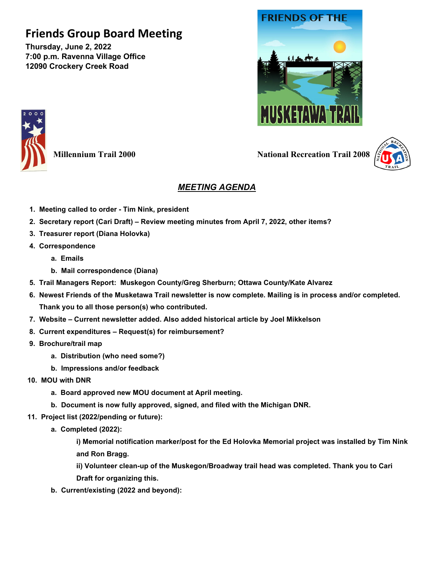## **Friends Group Board Meeting**

**Thursday, June 2, 2022 7:00 p.m. Ravenna Village Office 12090 Crockery Creek Road**





**Millennium Trail 2000 National Recreation Trail 2008** 



## *MEETING AGENDA*

- **1. Meeting called to order - Tim Nink, president**
- **2. Secretary report (Cari Draft) – Review meeting minutes from April 7, 2022, other items?**
- **3. Treasurer report (Diana Holovka)**
- **4. Correspondence**
	- **a. Emails**
	- **b. Mail correspondence (Diana)**
- **5. Trail Managers Report: Muskegon County/Greg Sherburn; Ottawa County/Kate Alvarez**
- **6. Newest Friends of the Musketawa Trail newsletter is now complete. Mailing is in process and/or completed. Thank you to all those person(s) who contributed.**
- **7. Website – Current newsletter added. Also added historical article by Joel Mikkelson**
- **8. Current expenditures – Request(s) for reimbursement?**
- **9. Brochure/trail map**
	- **a. Distribution (who need some?)**
	- **b. Impressions and/or feedback**
- **10. MOU with DNR**
	- **a. Board approved new MOU document at April meeting.**
	- **b. Document is now fully approved, signed, and filed with the Michigan DNR.**
- **11. Project list (2022/pending or future):**
	- **a. Completed (2022):**

**i) Memorial notification marker/post for the Ed Holovka Memorial project was installed by Tim Nink and Ron Bragg.**

**ii) Volunteer clean-up of the Muskegon/Broadway trail head was completed. Thank you to Cari** 

- **Draft for organizing this.**
- **b. Current/existing (2022 and beyond):**